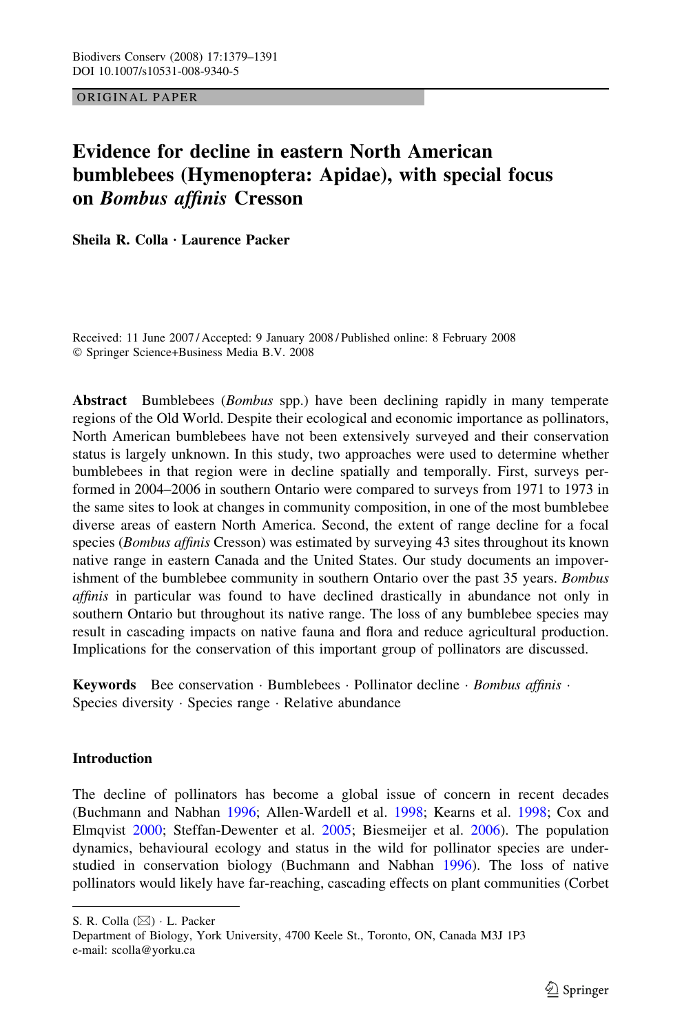# ORIGINAL PAPER

# Evidence for decline in eastern North American bumblebees (Hymenoptera: Apidae), with special focus on Bombus affinis Cresson

Sheila R. Colla  $\cdot$  Laurence Packer

Received: 11 June 2007 / Accepted: 9 January 2008 / Published online: 8 February 2008 Springer Science+Business Media B.V. 2008

Abstract Bumblebees (*Bombus* spp.) have been declining rapidly in many temperate regions of the Old World. Despite their ecological and economic importance as pollinators, North American bumblebees have not been extensively surveyed and their conservation status is largely unknown. In this study, two approaches were used to determine whether bumblebees in that region were in decline spatially and temporally. First, surveys performed in 2004–2006 in southern Ontario were compared to surveys from 1971 to 1973 in the same sites to look at changes in community composition, in one of the most bumblebee diverse areas of eastern North America. Second, the extent of range decline for a focal species (*Bombus affinis* Cresson) was estimated by surveying 43 sites throughout its known native range in eastern Canada and the United States. Our study documents an impoverishment of the bumblebee community in southern Ontario over the past 35 years. *Bombus* affinis in particular was found to have declined drastically in abundance not only in southern Ontario but throughout its native range. The loss of any bumblebee species may result in cascading impacts on native fauna and flora and reduce agricultural production. Implications for the conservation of this important group of pollinators are discussed.

**Keywords** Bee conservation  $\cdot$  Bumblebees  $\cdot$  Pollinator decline  $\cdot$  *Bombus affinis*  $\cdot$ Species diversity · Species range · Relative abundance

# **Introduction**

The decline of pollinators has become a global issue of concern in recent decades (Buchmann and Nabhan [1996](#page-10-0); Allen-Wardell et al. [1998;](#page-10-0) Kearns et al. [1998;](#page-11-0) Cox and Elmqvist [2000;](#page-11-0) Steffan-Dewenter et al. [2005;](#page-12-0) Biesmeijer et al. [2006\)](#page-10-0). The population dynamics, behavioural ecology and status in the wild for pollinator species are understudied in conservation biology (Buchmann and Nabhan [1996](#page-10-0)). The loss of native pollinators would likely have far-reaching, cascading effects on plant communities (Corbet

S. R. Colla (&) L. Packer

Department of Biology, York University, 4700 Keele St., Toronto, ON, Canada M3J 1P3 e-mail: scolla@yorku.ca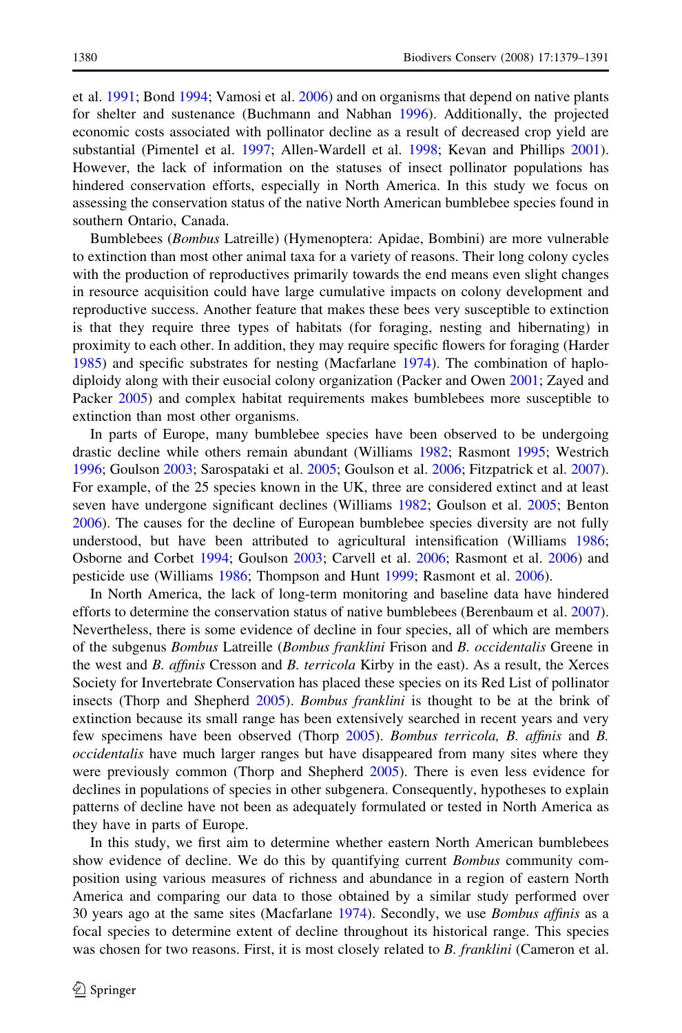et al. [1991](#page-11-0); Bond [1994](#page-10-0); Vamosi et al. [2006\)](#page-12-0) and on organisms that depend on native plants for shelter and sustenance (Buchmann and Nabhan [1996](#page-10-0)). Additionally, the projected economic costs associated with pollinator decline as a result of decreased crop yield are substantial (Pimentel et al. [1997;](#page-12-0) Allen-Wardell et al. [1998](#page-10-0); Kevan and Phillips [2001](#page-11-0)). However, the lack of information on the statuses of insect pollinator populations has hindered conservation efforts, especially in North America. In this study we focus on assessing the conservation status of the native North American bumblebee species found in southern Ontario, Canada.

Bumblebees (Bombus Latreille) (Hymenoptera: Apidae, Bombini) are more vulnerable to extinction than most other animal taxa for a variety of reasons. Their long colony cycles with the production of reproductives primarily towards the end means even slight changes in resource acquisition could have large cumulative impacts on colony development and reproductive success. Another feature that makes these bees very susceptible to extinction is that they require three types of habitats (for foraging, nesting and hibernating) in proximity to each other. In addition, they may require specific flowers for foraging (Harder [1985\)](#page-11-0) and specific substrates for nesting (Macfarlane [1974](#page-11-0)). The combination of haplodiploidy along with their eusocial colony organization (Packer and Owen [2001](#page-12-0); Zayed and Packer [2005](#page-12-0)) and complex habitat requirements makes bumblebees more susceptible to extinction than most other organisms.

In parts of Europe, many bumblebee species have been observed to be undergoing drastic decline while others remain abundant (Williams [1982;](#page-12-0) Rasmont [1995;](#page-12-0) Westrich [1996;](#page-12-0) Goulson [2003](#page-11-0); Sarospataki et al. [2005](#page-12-0); Goulson et al. [2006](#page-11-0); Fitzpatrick et al. [2007](#page-11-0)). For example, of the 25 species known in the UK, three are considered extinct and at least seven have undergone significant declines (Williams [1982](#page-12-0); Goulson et al. [2005;](#page-11-0) Benton [2006\)](#page-10-0). The causes for the decline of European bumblebee species diversity are not fully understood, but have been attributed to agricultural intensification (Williams [1986;](#page-12-0) Osborne and Corbet [1994;](#page-12-0) Goulson [2003](#page-11-0); Carvell et al. [2006](#page-11-0); Rasmont et al. [2006](#page-12-0)) and pesticide use (Williams [1986;](#page-12-0) Thompson and Hunt [1999;](#page-12-0) Rasmont et al. [2006\)](#page-12-0).

In North America, the lack of long-term monitoring and baseline data have hindered efforts to determine the conservation status of native bumblebees (Berenbaum et al. [2007](#page-10-0)). Nevertheless, there is some evidence of decline in four species, all of which are members of the subgenus Bombus Latreille (Bombus franklini Frison and B. occidentalis Greene in the west and B. affinis Cresson and B. terricola Kirby in the east). As a result, the Xerces Society for Invertebrate Conservation has placed these species on its Red List of pollinator insects (Thorp and Shepherd [2005](#page-12-0)). Bombus franklini is thought to be at the brink of extinction because its small range has been extensively searched in recent years and very few specimens have been observed (Thorp [2005\)](#page-12-0). Bombus terricola, B. affinis and B. occidentalis have much larger ranges but have disappeared from many sites where they were previously common (Thorp and Shepherd [2005](#page-12-0)). There is even less evidence for declines in populations of species in other subgenera. Consequently, hypotheses to explain patterns of decline have not been as adequately formulated or tested in North America as they have in parts of Europe.

In this study, we first aim to determine whether eastern North American bumblebees show evidence of decline. We do this by quantifying current *Bombus* community composition using various measures of richness and abundance in a region of eastern North America and comparing our data to those obtained by a similar study performed over 30 years ago at the same sites (Macfarlane [1974\)](#page-11-0). Secondly, we use Bombus affinis as a focal species to determine extent of decline throughout its historical range. This species was chosen for two reasons. First, it is most closely related to B. franklini (Cameron et al.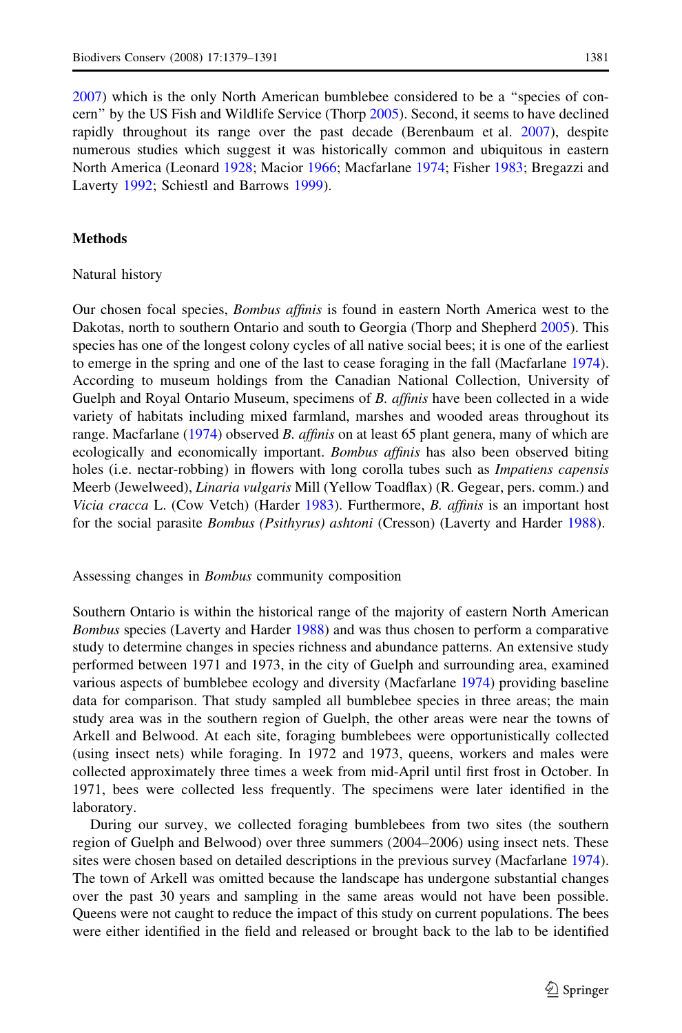[2007\)](#page-11-0) which is the only North American bumblebee considered to be a ''species of concern'' by the US Fish and Wildlife Service (Thorp [2005](#page-12-0)). Second, it seems to have declined rapidly throughout its range over the past decade (Berenbaum et al. [2007\)](#page-10-0), despite numerous studies which suggest it was historically common and ubiquitous in eastern North America (Leonard [1928;](#page-11-0) Macior [1966](#page-11-0); Macfarlane [1974;](#page-11-0) Fisher [1983](#page-11-0); Bregazzi and Laverty [1992](#page-10-0); Schiestl and Barrows [1999](#page-12-0)).

## **Methods**

### Natural history

Our chosen focal species, *Bombus affinis* is found in eastern North America west to the Dakotas, north to southern Ontario and south to Georgia (Thorp and Shepherd [2005\)](#page-12-0). This species has one of the longest colony cycles of all native social bees; it is one of the earliest to emerge in the spring and one of the last to cease foraging in the fall (Macfarlane [1974](#page-11-0)). According to museum holdings from the Canadian National Collection, University of Guelph and Royal Ontario Museum, specimens of B. affinis have been collected in a wide variety of habitats including mixed farmland, marshes and wooded areas throughout its range. Macfarlane [\(1974](#page-11-0)) observed B. affinis on at least 65 plant genera, many of which are ecologically and economically important. *Bombus affinis* has also been observed biting holes (i.e. nectar-robbing) in flowers with long corolla tubes such as *Impatiens capensis* Meerb (Jewelweed), Linaria vulgaris Mill (Yellow Toadflax) (R. Gegear, pers. comm.) and Vicia cracca L. (Cow Vetch) (Harder [1983](#page-11-0)). Furthermore, *B. affinis* is an important host for the social parasite *Bombus (Psithyrus) ashtoni* (Cresson) (Laverty and Harder [1988\)](#page-11-0).

#### Assessing changes in Bombus community composition

Southern Ontario is within the historical range of the majority of eastern North American Bombus species (Laverty and Harder [1988](#page-11-0)) and was thus chosen to perform a comparative study to determine changes in species richness and abundance patterns. An extensive study performed between 1971 and 1973, in the city of Guelph and surrounding area, examined various aspects of bumblebee ecology and diversity (Macfarlane [1974\)](#page-11-0) providing baseline data for comparison. That study sampled all bumblebee species in three areas; the main study area was in the southern region of Guelph, the other areas were near the towns of Arkell and Belwood. At each site, foraging bumblebees were opportunistically collected (using insect nets) while foraging. In 1972 and 1973, queens, workers and males were collected approximately three times a week from mid-April until first frost in October. In 1971, bees were collected less frequently. The specimens were later identified in the laboratory.

During our survey, we collected foraging bumblebees from two sites (the southern region of Guelph and Belwood) over three summers (2004–2006) using insect nets. These sites were chosen based on detailed descriptions in the previous survey (Macfarlane [1974](#page-11-0)). The town of Arkell was omitted because the landscape has undergone substantial changes over the past 30 years and sampling in the same areas would not have been possible. Queens were not caught to reduce the impact of this study on current populations. The bees were either identified in the field and released or brought back to the lab to be identified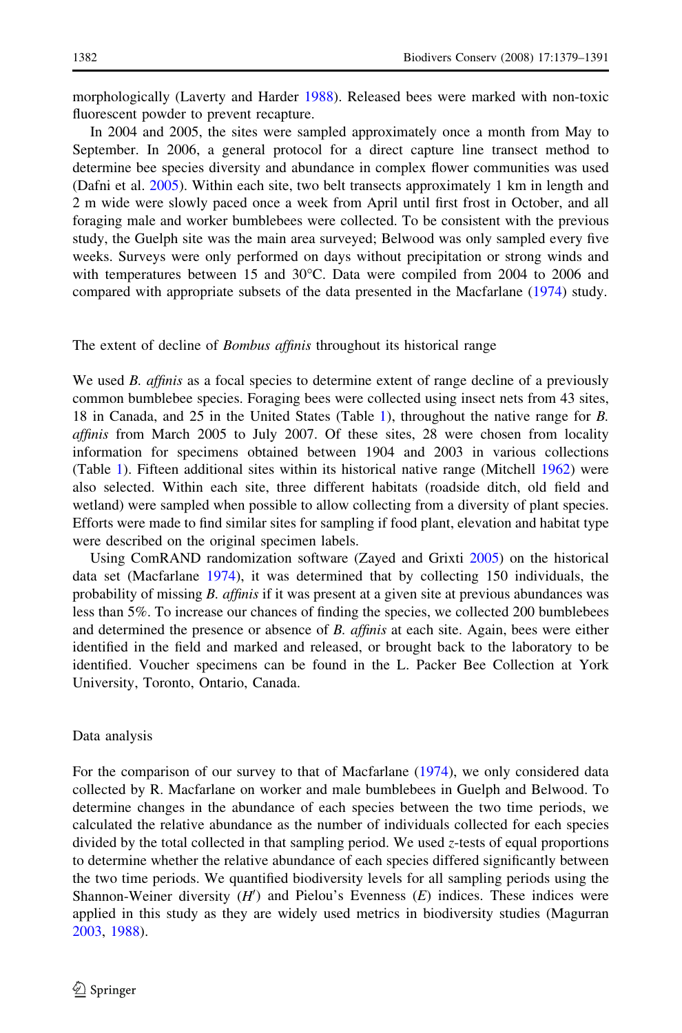morphologically (Laverty and Harder [1988](#page-11-0)). Released bees were marked with non-toxic fluorescent powder to prevent recapture.

In 2004 and 2005, the sites were sampled approximately once a month from May to September. In 2006, a general protocol for a direct capture line transect method to determine bee species diversity and abundance in complex flower communities was used (Dafni et al. [2005](#page-11-0)). Within each site, two belt transects approximately 1 km in length and 2 m wide were slowly paced once a week from April until first frost in October, and all foraging male and worker bumblebees were collected. To be consistent with the previous study, the Guelph site was the main area surveyed; Belwood was only sampled every five weeks. Surveys were only performed on days without precipitation or strong winds and with temperatures between 15 and  $30^{\circ}$ C. Data were compiled from 2004 to 2006 and compared with appropriate subsets of the data presented in the Macfarlane ([1974](#page-11-0)) study.

## The extent of decline of *Bombus affinis* throughout its historical range

We used B. affinis as a focal species to determine extent of range decline of a previously common bumblebee species. Foraging bees were collected using insect nets from 43 sites, 18 in Canada, and 25 in the United States (Table [1](#page-4-0)), throughout the native range for B. affinis from March 2005 to July 2007. Of these sites, 28 were chosen from locality information for specimens obtained between 1904 and 2003 in various collections (Table [1](#page-4-0)). Fifteen additional sites within its historical native range (Mitchell [1962\)](#page-11-0) were also selected. Within each site, three different habitats (roadside ditch, old field and wetland) were sampled when possible to allow collecting from a diversity of plant species. Efforts were made to find similar sites for sampling if food plant, elevation and habitat type were described on the original specimen labels.

Using ComRAND randomization software (Zayed and Grixti [2005\)](#page-12-0) on the historical data set (Macfarlane [1974](#page-11-0)), it was determined that by collecting 150 individuals, the probability of missing B. affinis if it was present at a given site at previous abundances was less than 5%. To increase our chances of finding the species, we collected 200 bumblebees and determined the presence or absence of B. affinis at each site. Again, bees were either identified in the field and marked and released, or brought back to the laboratory to be identified. Voucher specimens can be found in the L. Packer Bee Collection at York University, Toronto, Ontario, Canada.

## Data analysis

For the comparison of our survey to that of Macfarlane [\(1974](#page-11-0)), we only considered data collected by R. Macfarlane on worker and male bumblebees in Guelph and Belwood. To determine changes in the abundance of each species between the two time periods, we calculated the relative abundance as the number of individuals collected for each species divided by the total collected in that sampling period. We used z-tests of equal proportions to determine whether the relative abundance of each species differed significantly between the two time periods. We quantified biodiversity levels for all sampling periods using the Shannon-Weiner diversity  $(H')$  and Pielou's Evenness  $(E)$  indices. These indices were applied in this study as they are widely used metrics in biodiversity studies (Magurran [2003,](#page-11-0) [1988](#page-11-0)).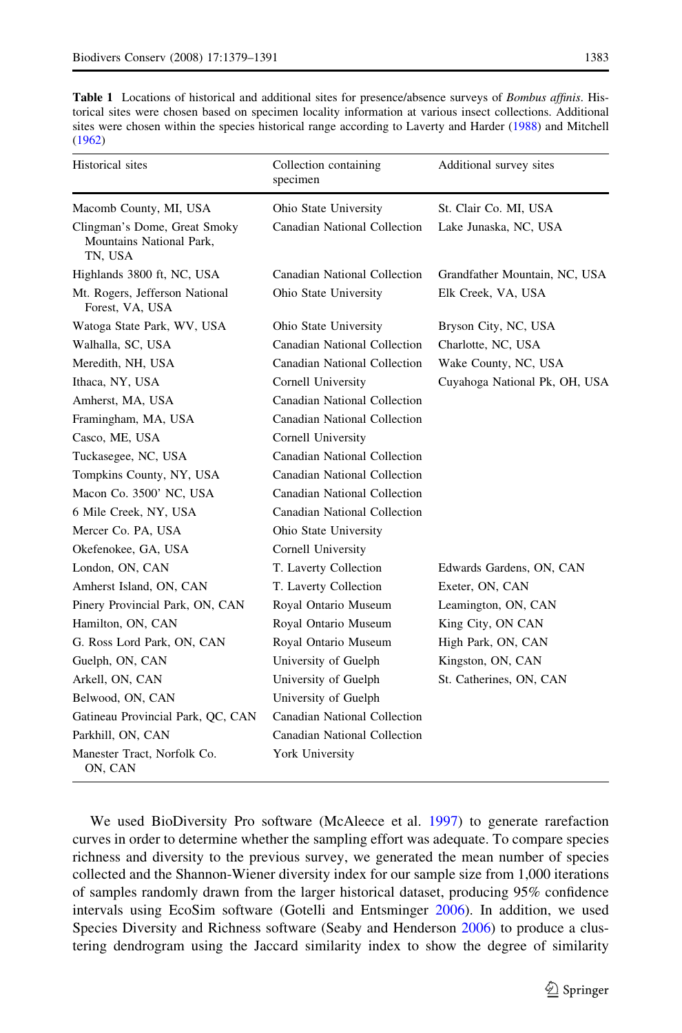<span id="page-4-0"></span>

| <b>Table 1</b> Locations of historical and additional sites for presence/absence surveys of <i>Bombus affinis</i> . His- |
|--------------------------------------------------------------------------------------------------------------------------|
| torical sites were chosen based on specimen locality information at various insect collections. Additional               |
| sites were chosen within the species historical range according to Laverty and Harder (1988) and Mitchell                |
| (1962)                                                                                                                   |

| Historical sites                                                    | Collection containing<br>specimen | Additional survey sites       |
|---------------------------------------------------------------------|-----------------------------------|-------------------------------|
| Macomb County, MI, USA                                              | Ohio State University             | St. Clair Co. MI, USA         |
| Clingman's Dome, Great Smoky<br>Mountains National Park,<br>TN, USA | Canadian National Collection      | Lake Junaska, NC, USA         |
| Highlands 3800 ft, NC, USA                                          | Canadian National Collection      | Grandfather Mountain, NC, USA |
| Mt. Rogers, Jefferson National<br>Forest, VA, USA                   | Ohio State University             | Elk Creek, VA, USA            |
| Watoga State Park, WV, USA                                          | Ohio State University             | Bryson City, NC, USA          |
| Walhalla, SC, USA                                                   | Canadian National Collection      | Charlotte, NC, USA            |
| Meredith, NH, USA                                                   | Canadian National Collection      | Wake County, NC, USA          |
| Ithaca, NY, USA                                                     | Cornell University                | Cuyahoga National Pk, OH, USA |
| Amherst, MA, USA                                                    | Canadian National Collection      |                               |
| Framingham, MA, USA                                                 | Canadian National Collection      |                               |
| Casco, ME, USA                                                      | Cornell University                |                               |
| Tuckasegee, NC, USA                                                 | Canadian National Collection      |                               |
| Tompkins County, NY, USA                                            | Canadian National Collection      |                               |
| Macon Co. 3500' NC, USA                                             | Canadian National Collection      |                               |
| 6 Mile Creek, NY, USA                                               | Canadian National Collection      |                               |
| Mercer Co. PA, USA                                                  | Ohio State University             |                               |
| Okefenokee, GA, USA                                                 | Cornell University                |                               |
| London, ON, CAN                                                     | T. Laverty Collection             | Edwards Gardens, ON, CAN      |
| Amherst Island, ON, CAN                                             | T. Laverty Collection             | Exeter, ON, CAN               |
| Pinery Provincial Park, ON, CAN                                     | Royal Ontario Museum              | Leamington, ON, CAN           |
| Hamilton, ON, CAN                                                   | Royal Ontario Museum              | King City, ON CAN             |
| G. Ross Lord Park, ON, CAN                                          | Royal Ontario Museum              | High Park, ON, CAN            |
| Guelph, ON, CAN                                                     | University of Guelph              | Kingston, ON, CAN             |
| Arkell, ON, CAN                                                     | University of Guelph              | St. Catherines, ON, CAN       |
| Belwood, ON, CAN                                                    | University of Guelph              |                               |
| Gatineau Provincial Park, QC, CAN                                   | Canadian National Collection      |                               |
| Parkhill, ON, CAN                                                   | Canadian National Collection      |                               |
| Manester Tract, Norfolk Co.<br>ON, CAN                              | York University                   |                               |

We used BioDiversity Pro software (McAleece et al. [1997](#page-11-0)) to generate rarefaction curves in order to determine whether the sampling effort was adequate. To compare species richness and diversity to the previous survey, we generated the mean number of species collected and the Shannon-Wiener diversity index for our sample size from 1,000 iterations of samples randomly drawn from the larger historical dataset, producing 95% confidence intervals using EcoSim software (Gotelli and Entsminger [2006\)](#page-11-0). In addition, we used Species Diversity and Richness software (Seaby and Henderson [2006](#page-12-0)) to produce a clustering dendrogram using the Jaccard similarity index to show the degree of similarity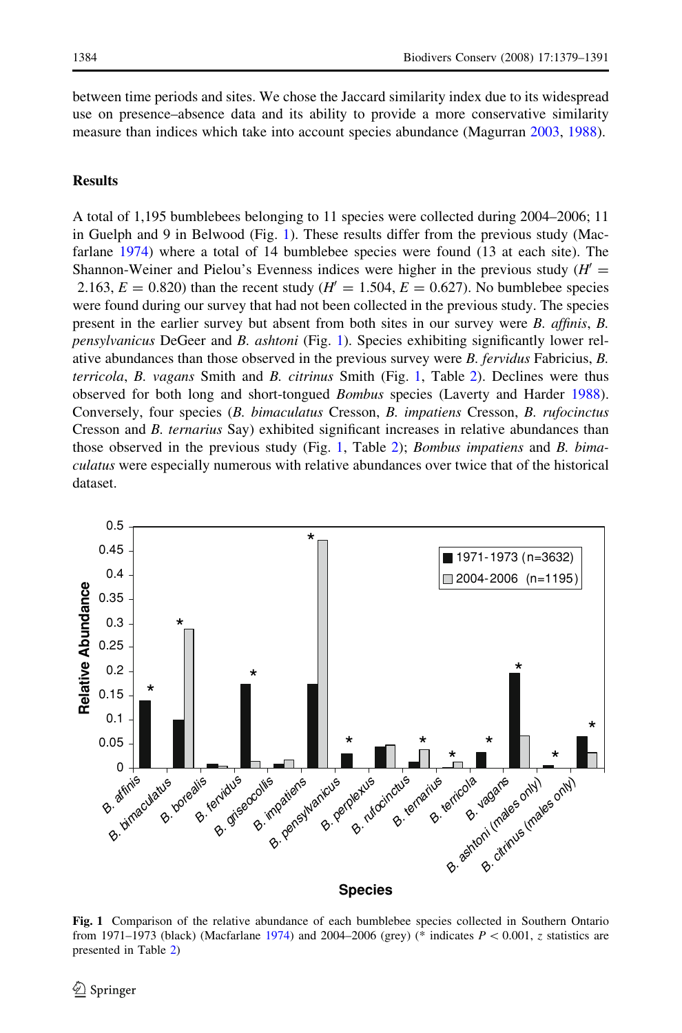between time periods and sites. We chose the Jaccard similarity index due to its widespread use on presence–absence data and its ability to provide a more conservative similarity measure than indices which take into account species abundance (Magurran [2003,](#page-11-0) [1988\)](#page-11-0).

# **Results**

A total of 1,195 bumblebees belonging to 11 species were collected during 2004–2006; 11 in Guelph and 9 in Belwood (Fig. 1). These results differ from the previous study (Macfarlane [1974\)](#page-11-0) where a total of 14 bumblebee species were found (13 at each site). The Shannon-Weiner and Pielou's Evenness indices were higher in the previous study  $(H^{\prime})$ 2.163,  $E = 0.820$ ) than the recent study ( $H' = 1.504$ ,  $E = 0.627$ ). No bumblebee species were found during our survey that had not been collected in the previous study. The species present in the earlier survey but absent from both sites in our survey were B. affinis, B. pensylvanicus DeGeer and B. ashtoni (Fig. 1). Species exhibiting significantly lower relative abundances than those observed in the previous survey were B. fervidus Fabricius, B. terricola, B. vagans Smith and B. citrinus Smith (Fig. 1, Table [2\)](#page-6-0). Declines were thus observed for both long and short-tongued Bombus species (Laverty and Harder [1988](#page-11-0)). Conversely, four species (B. bimaculatus Cresson, B. impatiens Cresson, B. rufocinctus Cresson and B. ternarius Say) exhibited significant increases in relative abundances than those observed in the previous study (Fig. 1, Table [2\)](#page-6-0); *Bombus impatiens* and *B. bima*culatus were especially numerous with relative abundances over twice that of the historical dataset.



Fig. 1 Comparison of the relative abundance of each bumblebee species collected in Southern Ontario from 1971–1973 (black) (Macfarlane [1974\)](#page-11-0) and 2004–2006 (grey) (\* indicates  $P \lt 0.001$ , z statistics are presented in Table [2\)](#page-6-0)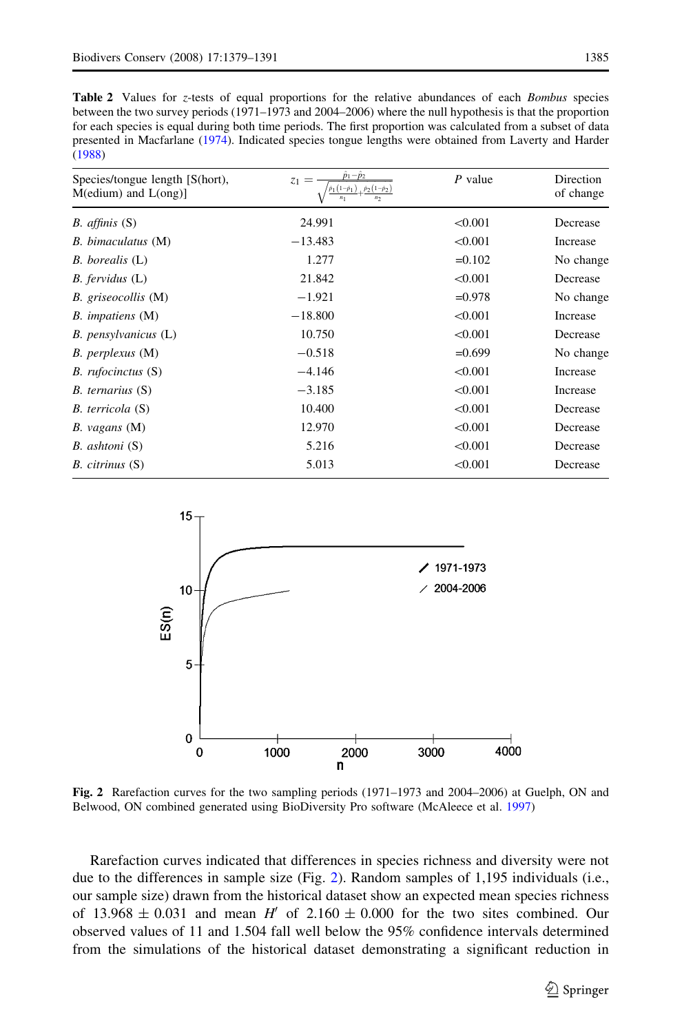<span id="page-6-0"></span>Table 2 Values for z-tests of equal proportions for the relative abundances of each Bombus species between the two survey periods (1971–1973 and 2004–2006) where the null hypothesis is that the proportion for each species is equal during both time periods. The first proportion was calculated from a subset of data presented in Macfarlane ([1974\)](#page-11-0). Indicated species tongue lengths were obtained from Laverty and Harder [\(1988](#page-11-0))

| Species/tongue length [S(hort),<br>$M$ (edium) and $L$ (ong)] | $z_1 =$<br>$\hat{p}_1(1-\hat{p}_1)$ , $\hat{p}_2(1-\hat{p}_2)$<br>$n_1$<br>n <sub>2</sub> | $P$ value | Direction<br>of change |
|---------------------------------------------------------------|-------------------------------------------------------------------------------------------|-----------|------------------------|
| <i>B. affinis</i> $(S)$                                       | 24.991                                                                                    | < 0.001   | Decrease               |
| B. bimaculatus (M)                                            | $-13.483$                                                                                 | < 0.001   | Increase               |
| B. borealis (L)                                               | 1.277                                                                                     | $=0.102$  | No change              |
| $B.$ fervidus $(L)$                                           | 21.842                                                                                    | < 0.001   | Decrease               |
| B. griseocollis (M)                                           | $-1.921$                                                                                  | $=0.978$  | No change              |
| B. <i>impatiens</i> (M)                                       | $-18.800$                                                                                 | < 0.001   | Increase               |
| B. pensylvanicus (L)                                          | 10.750                                                                                    | < 0.001   | Decrease               |
| B. perplexus (M)                                              | $-0.518$                                                                                  | $=0.699$  | No change              |
| B. rufocinctus (S)                                            | $-4.146$                                                                                  | < 0.001   | Increase               |
| $B.$ ternarius $(S)$                                          | $-3.185$                                                                                  | < 0.001   | Increase               |
| B. terricola (S)                                              | 10.400                                                                                    | < 0.001   | Decrease               |
| $B.$ vagans $(M)$                                             | 12.970                                                                                    | < 0.001   | Decrease               |
| B. ashtoni (S)                                                | 5.216                                                                                     | < 0.001   | Decrease               |
| B. citrinus (S)                                               | 5.013                                                                                     | < 0.001   | Decrease               |
|                                                               |                                                                                           |           |                        |



Fig. 2 Rarefaction curves for the two sampling periods (1971–1973 and 2004–2006) at Guelph, ON and Belwood, ON combined generated using BioDiversity Pro software (McAleece et al. [1997](#page-11-0))

Rarefaction curves indicated that differences in species richness and diversity were not due to the differences in sample size (Fig. 2). Random samples of 1,195 individuals (i.e., our sample size) drawn from the historical dataset show an expected mean species richness of 13.968  $\pm$  0.031 and mean H' of 2.160  $\pm$  0.000 for the two sites combined. Our observed values of 11 and 1.504 fall well below the 95% confidence intervals determined from the simulations of the historical dataset demonstrating a significant reduction in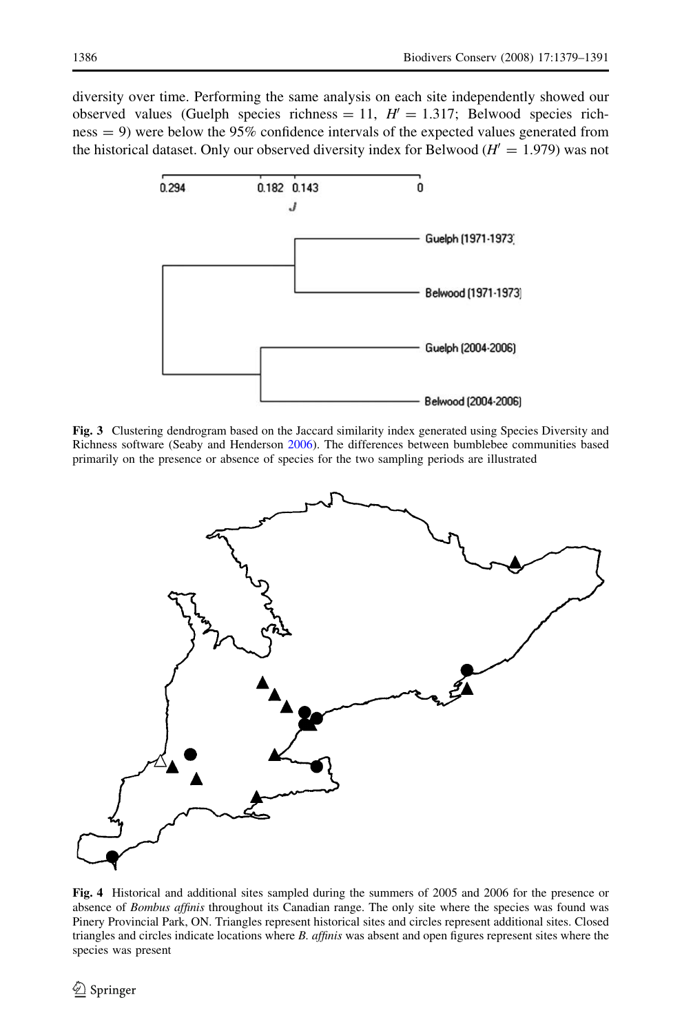<span id="page-7-0"></span>diversity over time. Performing the same analysis on each site independently showed our observed values (Guelph species richness = 11,  $H' = 1.317$ ; Belwood species richness = 9) were below the 95% confidence intervals of the expected values generated from the historical dataset. Only our observed diversity index for Belwood ( $H' = 1.979$ ) was not



Fig. 3 Clustering dendrogram based on the Jaccard similarity index generated using Species Diversity and Richness software (Seaby and Henderson [2006\)](#page-12-0). The differences between bumblebee communities based primarily on the presence or absence of species for the two sampling periods are illustrated



Fig. 4 Historical and additional sites sampled during the summers of 2005 and 2006 for the presence or absence of Bombus affinis throughout its Canadian range. The only site where the species was found was Pinery Provincial Park, ON. Triangles represent historical sites and circles represent additional sites. Closed triangles and circles indicate locations where B. affinis was absent and open figures represent sites where the species was present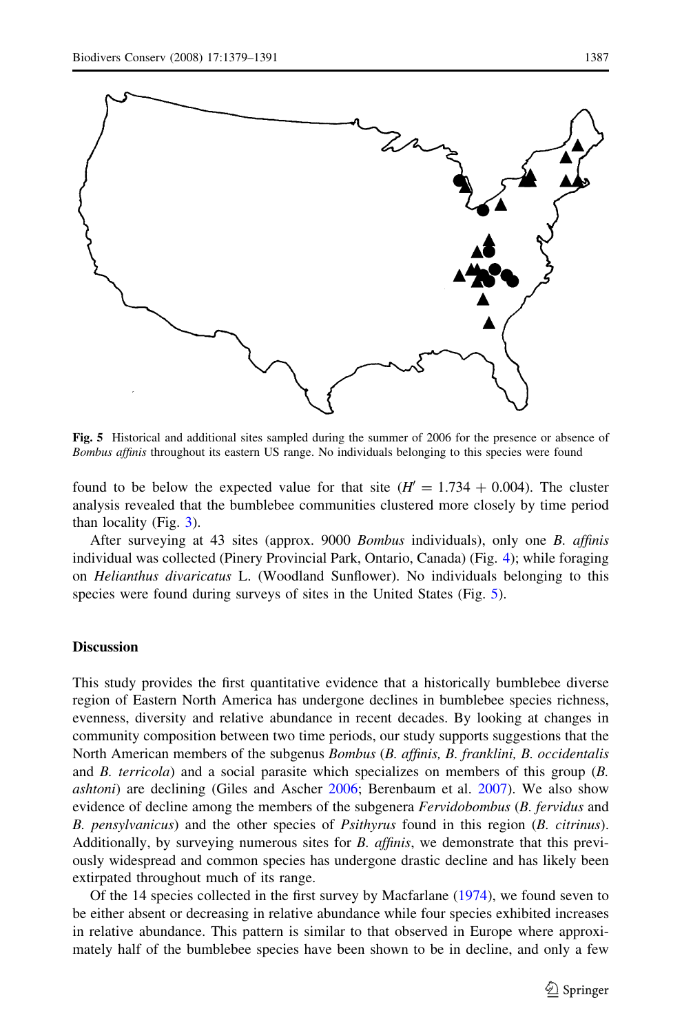

Fig. 5 Historical and additional sites sampled during the summer of 2006 for the presence or absence of Bombus affinis throughout its eastern US range. No individuals belonging to this species were found

found to be below the expected value for that site  $(H' = 1.734 + 0.004)$ . The cluster analysis revealed that the bumblebee communities clustered more closely by time period than locality (Fig. [3](#page-7-0)).

After surveying at 43 sites (approx. 9000 Bombus individuals), only one B. affinis individual was collected (Pinery Provincial Park, Ontario, Canada) (Fig. [4\)](#page-7-0); while foraging on Helianthus divaricatus L. (Woodland Sunflower). No individuals belonging to this species were found during surveys of sites in the United States (Fig. 5).

# **Discussion**

This study provides the first quantitative evidence that a historically bumblebee diverse region of Eastern North America has undergone declines in bumblebee species richness, evenness, diversity and relative abundance in recent decades. By looking at changes in community composition between two time periods, our study supports suggestions that the North American members of the subgenus *Bombus (B. affinis, B. franklini, B. occidentalis* and  $B$ . terricola) and a social parasite which specializes on members of this group  $(B$ . ashtoni) are declining (Giles and Ascher [2006;](#page-11-0) Berenbaum et al. [2007](#page-10-0)). We also show evidence of decline among the members of the subgenera Fervidobombus (B. fervidus and B. pensylvanicus) and the other species of *Psithyrus* found in this region (B. citrinus). Additionally, by surveying numerous sites for B. affinis, we demonstrate that this previously widespread and common species has undergone drastic decline and has likely been extirpated throughout much of its range.

Of the 14 species collected in the first survey by Macfarlane [\(1974](#page-11-0)), we found seven to be either absent or decreasing in relative abundance while four species exhibited increases in relative abundance. This pattern is similar to that observed in Europe where approximately half of the bumblebee species have been shown to be in decline, and only a few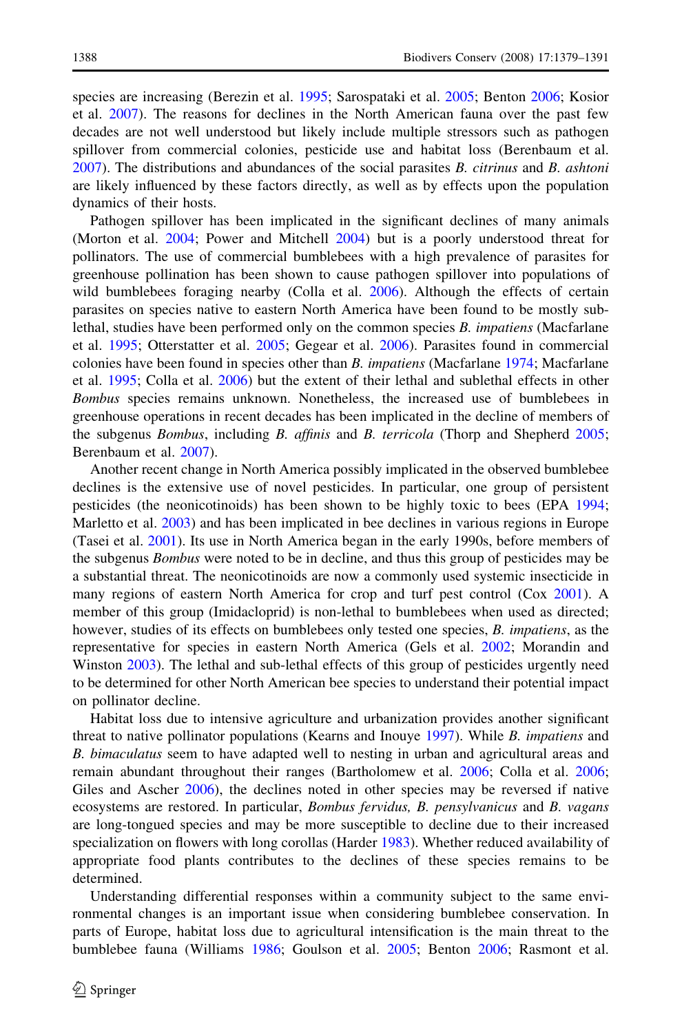species are increasing (Berezin et al. [1995](#page-10-0); Sarospataki et al. [2005;](#page-12-0) Benton [2006](#page-10-0); Kosior et al. [2007](#page-11-0)). The reasons for declines in the North American fauna over the past few decades are not well understood but likely include multiple stressors such as pathogen spillover from commercial colonies, pesticide use and habitat loss (Berenbaum et al.  $2007$ ). The distributions and abundances of the social parasites B. *citrinus* and B. *ashtoni* are likely influenced by these factors directly, as well as by effects upon the population dynamics of their hosts.

Pathogen spillover has been implicated in the significant declines of many animals (Morton et al. [2004;](#page-12-0) Power and Mitchell [2004](#page-12-0)) but is a poorly understood threat for pollinators. The use of commercial bumblebees with a high prevalence of parasites for greenhouse pollination has been shown to cause pathogen spillover into populations of wild bumblebees foraging nearby (Colla et al. [2006](#page-11-0)). Although the effects of certain parasites on species native to eastern North America have been found to be mostly sublethal, studies have been performed only on the common species  $B$ . *impatiens* (Macfarlane et al. [1995;](#page-11-0) Otterstatter et al. [2005;](#page-12-0) Gegear et al. [2006\)](#page-11-0). Parasites found in commercial colonies have been found in species other than *B. impatiens* (Macfarlane [1974](#page-11-0); Macfarlane et al. [1995](#page-11-0); Colla et al. [2006\)](#page-11-0) but the extent of their lethal and sublethal effects in other Bombus species remains unknown. Nonetheless, the increased use of bumblebees in greenhouse operations in recent decades has been implicated in the decline of members of the subgenus Bombus, including B. affinis and B. terricola (Thorp and Shepherd [2005;](#page-12-0) Berenbaum et al. [2007](#page-10-0)).

Another recent change in North America possibly implicated in the observed bumblebee declines is the extensive use of novel pesticides. In particular, one group of persistent pesticides (the neonicotinoids) has been shown to be highly toxic to bees (EPA [1994;](#page-11-0) Marletto et al. [2003](#page-11-0)) and has been implicated in bee declines in various regions in Europe (Tasei et al. [2001](#page-12-0)). Its use in North America began in the early 1990s, before members of the subgenus *Bombus* were noted to be in decline, and thus this group of pesticides may be a substantial threat. The neonicotinoids are now a commonly used systemic insecticide in many regions of eastern North America for crop and turf pest control (Cox [2001](#page-11-0)). A member of this group (Imidacloprid) is non-lethal to bumblebees when used as directed; however, studies of its effects on bumblebees only tested one species, B. impatiens, as the representative for species in eastern North America (Gels et al. [2002](#page-11-0); Morandin and Winston [2003\)](#page-12-0). The lethal and sub-lethal effects of this group of pesticides urgently need to be determined for other North American bee species to understand their potential impact on pollinator decline.

Habitat loss due to intensive agriculture and urbanization provides another significant threat to native pollinator populations (Kearns and Inouye [1997](#page-11-0)). While B. impatiens and B. bimaculatus seem to have adapted well to nesting in urban and agricultural areas and remain abundant throughout their ranges (Bartholomew et al. [2006](#page-10-0); Colla et al. [2006;](#page-11-0) Giles and Ascher [2006](#page-11-0)), the declines noted in other species may be reversed if native ecosystems are restored. In particular, Bombus fervidus, B. pensylvanicus and B. vagans are long-tongued species and may be more susceptible to decline due to their increased specialization on flowers with long corollas (Harder [1983](#page-11-0)). Whether reduced availability of appropriate food plants contributes to the declines of these species remains to be determined.

Understanding differential responses within a community subject to the same environmental changes is an important issue when considering bumblebee conservation. In parts of Europe, habitat loss due to agricultural intensification is the main threat to the bumblebee fauna (Williams [1986](#page-12-0); Goulson et al. [2005;](#page-11-0) Benton [2006](#page-10-0); Rasmont et al.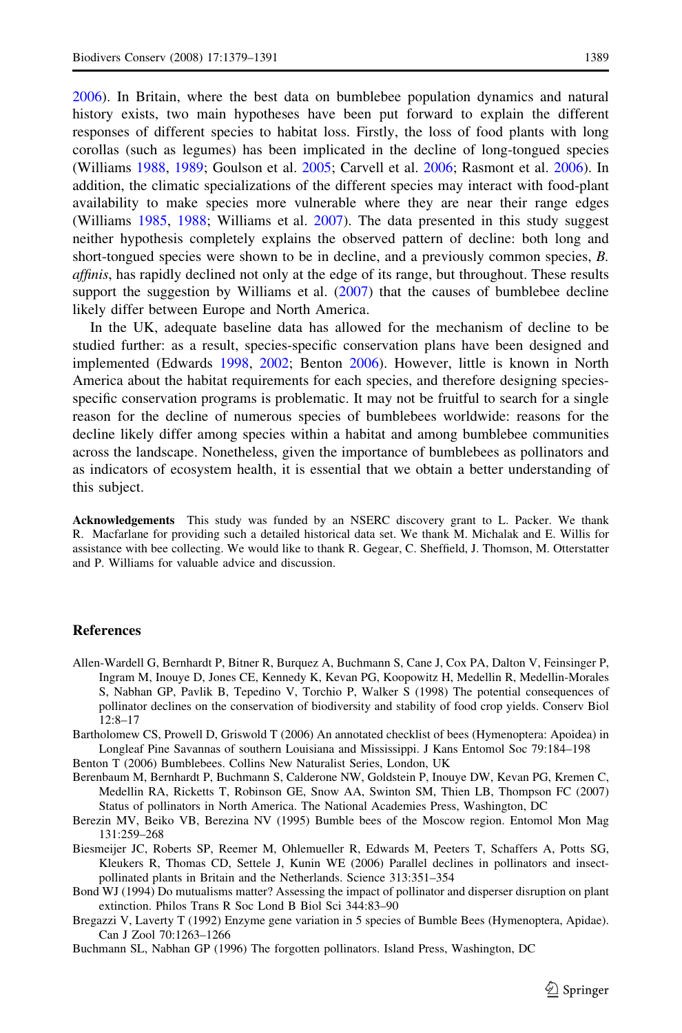<span id="page-10-0"></span>[2006\)](#page-12-0). In Britain, where the best data on bumblebee population dynamics and natural history exists, two main hypotheses have been put forward to explain the different responses of different species to habitat loss. Firstly, the loss of food plants with long corollas (such as legumes) has been implicated in the decline of long-tongued species (Williams [1988,](#page-12-0) [1989](#page-12-0); Goulson et al. [2005;](#page-11-0) Carvell et al. [2006](#page-11-0); Rasmont et al. [2006](#page-12-0)). In addition, the climatic specializations of the different species may interact with food-plant availability to make species more vulnerable where they are near their range edges (Williams [1985,](#page-12-0) [1988](#page-12-0); Williams et al. [2007](#page-12-0)). The data presented in this study suggest neither hypothesis completely explains the observed pattern of decline: both long and short-tongued species were shown to be in decline, and a previously common species, B. affinis, has rapidly declined not only at the edge of its range, but throughout. These results support the suggestion by Williams et al.  $(2007)$  $(2007)$  that the causes of bumblebee decline likely differ between Europe and North America.

In the UK, adequate baseline data has allowed for the mechanism of decline to be studied further: as a result, species-specific conservation plans have been designed and implemented (Edwards [1998,](#page-11-0) [2002](#page-11-0); Benton 2006). However, little is known in North America about the habitat requirements for each species, and therefore designing speciesspecific conservation programs is problematic. It may not be fruitful to search for a single reason for the decline of numerous species of bumblebees worldwide: reasons for the decline likely differ among species within a habitat and among bumblebee communities across the landscape. Nonetheless, given the importance of bumblebees as pollinators and as indicators of ecosystem health, it is essential that we obtain a better understanding of this subject.

Acknowledgements This study was funded by an NSERC discovery grant to L. Packer. We thank R. Macfarlane for providing such a detailed historical data set. We thank M. Michalak and E. Willis for assistance with bee collecting. We would like to thank R. Gegear, C. Sheffield, J. Thomson, M. Otterstatter and P. Williams for valuable advice and discussion.

## **References**

- Allen-Wardell G, Bernhardt P, Bitner R, Burquez A, Buchmann S, Cane J, Cox PA, Dalton V, Feinsinger P, Ingram M, Inouye D, Jones CE, Kennedy K, Kevan PG, Koopowitz H, Medellin R, Medellin-Morales S, Nabhan GP, Pavlik B, Tepedino V, Torchio P, Walker S (1998) The potential consequences of pollinator declines on the conservation of biodiversity and stability of food crop yields. Conserv Biol 12:8–17
- Bartholomew CS, Prowell D, Griswold T (2006) An annotated checklist of bees (Hymenoptera: Apoidea) in Longleaf Pine Savannas of southern Louisiana and Mississippi. J Kans Entomol Soc 79:184–198

Benton T (2006) Bumblebees. Collins New Naturalist Series, London, UK

- Berenbaum M, Bernhardt P, Buchmann S, Calderone NW, Goldstein P, Inouye DW, Kevan PG, Kremen C, Medellin RA, Ricketts T, Robinson GE, Snow AA, Swinton SM, Thien LB, Thompson FC (2007) Status of pollinators in North America. The National Academies Press, Washington, DC
- Berezin MV, Beiko VB, Berezina NV (1995) Bumble bees of the Moscow region. Entomol Mon Mag 131:259–268

Biesmeijer JC, Roberts SP, Reemer M, Ohlemueller R, Edwards M, Peeters T, Schaffers A, Potts SG, Kleukers R, Thomas CD, Settele J, Kunin WE (2006) Parallel declines in pollinators and insectpollinated plants in Britain and the Netherlands. Science 313:351–354

Bond WJ (1994) Do mutualisms matter? Assessing the impact of pollinator and disperser disruption on plant extinction. Philos Trans R Soc Lond B Biol Sci 344:83–90

Bregazzi V, Laverty T (1992) Enzyme gene variation in 5 species of Bumble Bees (Hymenoptera, Apidae). Can J Zool 70:1263–1266

Buchmann SL, Nabhan GP (1996) The forgotten pollinators. Island Press, Washington, DC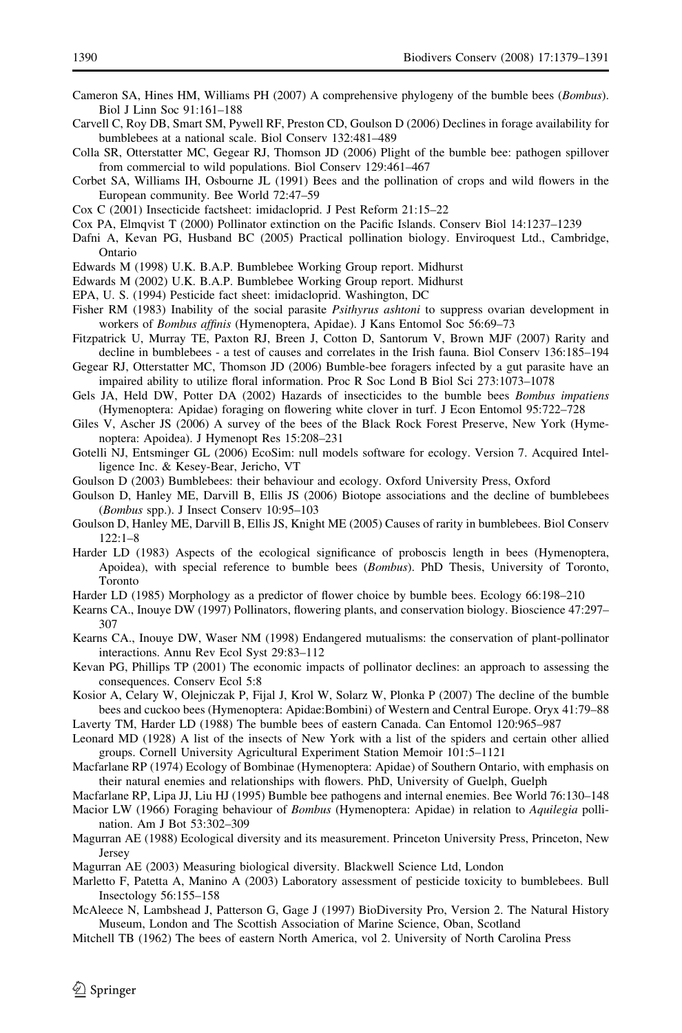- <span id="page-11-0"></span>Cameron SA, Hines HM, Williams PH (2007) A comprehensive phylogeny of the bumble bees (Bombus). Biol J Linn Soc 91:161–188
- Carvell C, Roy DB, Smart SM, Pywell RF, Preston CD, Goulson D (2006) Declines in forage availability for bumblebees at a national scale. Biol Conserv 132:481–489
- Colla SR, Otterstatter MC, Gegear RJ, Thomson JD (2006) Plight of the bumble bee: pathogen spillover from commercial to wild populations. Biol Conserv 129:461–467
- Corbet SA, Williams IH, Osbourne JL (1991) Bees and the pollination of crops and wild flowers in the European community. Bee World 72:47–59
- Cox C (2001) Insecticide factsheet: imidacloprid. J Pest Reform 21:15–22
- Cox PA, Elmqvist T (2000) Pollinator extinction on the Pacific Islands. Conserv Biol 14:1237–1239
- Dafni A, Kevan PG, Husband BC (2005) Practical pollination biology. Enviroquest Ltd., Cambridge, Ontario
- Edwards M (1998) U.K. B.A.P. Bumblebee Working Group report. Midhurst
- Edwards M (2002) U.K. B.A.P. Bumblebee Working Group report. Midhurst
- EPA, U. S. (1994) Pesticide fact sheet: imidacloprid. Washington, DC
- Fisher RM (1983) Inability of the social parasite *Psithyrus ashtoni* to suppress ovarian development in workers of Bombus affinis (Hymenoptera, Apidae). J Kans Entomol Soc 56:69–73
- Fitzpatrick U, Murray TE, Paxton RJ, Breen J, Cotton D, Santorum V, Brown MJF (2007) Rarity and decline in bumblebees - a test of causes and correlates in the Irish fauna. Biol Conserv 136:185–194
- Gegear RJ, Otterstatter MC, Thomson JD (2006) Bumble-bee foragers infected by a gut parasite have an impaired ability to utilize floral information. Proc R Soc Lond B Biol Sci 273:1073–1078
- Gels JA, Held DW, Potter DA (2002) Hazards of insecticides to the bumble bees *Bombus impatiens* (Hymenoptera: Apidae) foraging on flowering white clover in turf. J Econ Entomol 95:722–728
- Giles V, Ascher JS (2006) A survey of the bees of the Black Rock Forest Preserve, New York (Hymenoptera: Apoidea). J Hymenopt Res 15:208–231
- Gotelli NJ, Entsminger GL (2006) EcoSim: null models software for ecology. Version 7. Acquired Intelligence Inc. & Kesey-Bear, Jericho, VT
- Goulson D (2003) Bumblebees: their behaviour and ecology. Oxford University Press, Oxford
- Goulson D, Hanley ME, Darvill B, Ellis JS (2006) Biotope associations and the decline of bumblebees (Bombus spp.). J Insect Conserv 10:95–103
- Goulson D, Hanley ME, Darvill B, Ellis JS, Knight ME (2005) Causes of rarity in bumblebees. Biol Conserv 122:1–8
- Harder LD (1983) Aspects of the ecological significance of proboscis length in bees (Hymenoptera, Apoidea), with special reference to bumble bees (Bombus). PhD Thesis, University of Toronto, Toronto
- Harder LD (1985) Morphology as a predictor of flower choice by bumble bees. Ecology 66:198–210
- Kearns CA., Inouye DW (1997) Pollinators, flowering plants, and conservation biology. Bioscience 47:297– 307
- Kearns CA., Inouye DW, Waser NM (1998) Endangered mutualisms: the conservation of plant-pollinator interactions. Annu Rev Ecol Syst 29:83–112
- Kevan PG, Phillips TP (2001) The economic impacts of pollinator declines: an approach to assessing the consequences. Conserv Ecol 5:8
- Kosior A, Celary W, Olejniczak P, Fijal J, Krol W, Solarz W, Plonka P (2007) The decline of the bumble bees and cuckoo bees (Hymenoptera: Apidae:Bombini) of Western and Central Europe. Oryx 41:79–88
- Laverty TM, Harder LD (1988) The bumble bees of eastern Canada. Can Entomol 120:965–987
- Leonard MD (1928) A list of the insects of New York with a list of the spiders and certain other allied groups. Cornell University Agricultural Experiment Station Memoir 101:5–1121
- Macfarlane RP (1974) Ecology of Bombinae (Hymenoptera: Apidae) of Southern Ontario, with emphasis on their natural enemies and relationships with flowers. PhD, University of Guelph, Guelph
- Macfarlane RP, Lipa JJ, Liu HJ (1995) Bumble bee pathogens and internal enemies. Bee World 76:130–148
- Macior LW (1966) Foraging behaviour of Bombus (Hymenoptera: Apidae) in relation to Aquilegia pollination. Am J Bot 53:302–309
- Magurran AE (1988) Ecological diversity and its measurement. Princeton University Press, Princeton, New Jersey
- Magurran AE (2003) Measuring biological diversity. Blackwell Science Ltd, London
- Marletto F, Patetta A, Manino A (2003) Laboratory assessment of pesticide toxicity to bumblebees. Bull Insectology 56:155–158
- McAleece N, Lambshead J, Patterson G, Gage J (1997) BioDiversity Pro, Version 2. The Natural History Museum, London and The Scottish Association of Marine Science, Oban, Scotland
- Mitchell TB (1962) The bees of eastern North America, vol 2. University of North Carolina Press